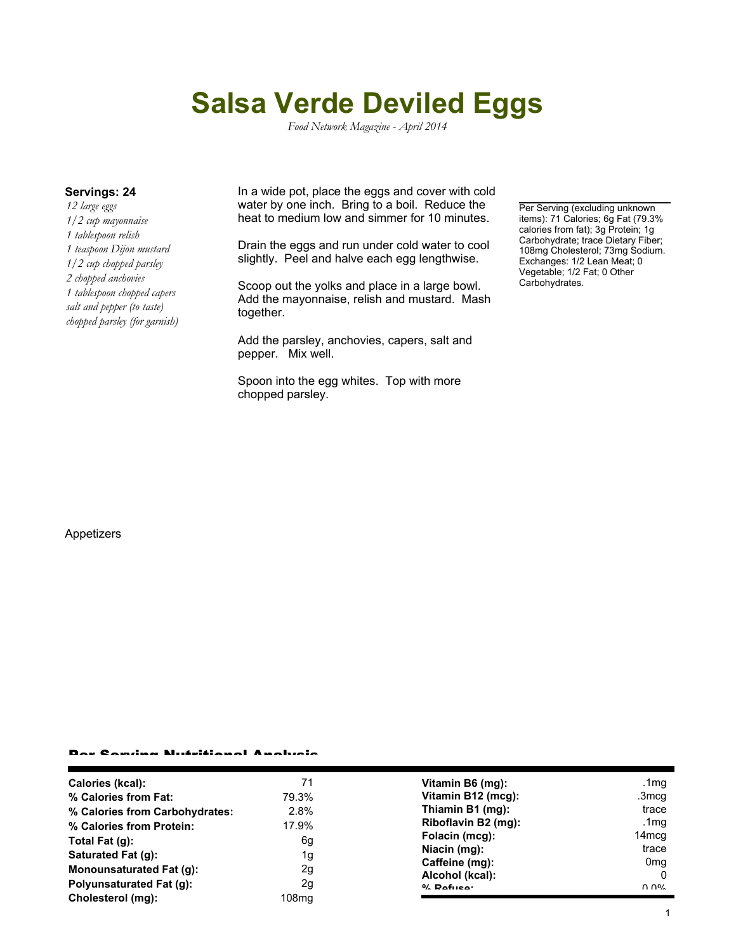# **Salsa Verde Deviled Eggs**

*Food Network Magazine - April 2014*

*12 large eggs 1/2 cup mayonnaise 1 tablespoon relish 1 teaspoon Dijon mustard 1/2 cup chopped parsley 2 chopped anchovies 1 tablespoon chopped capers salt and pepper (to taste) chopped parsley (for garnish)*

**Servings: 24** In a wide pot, place the eggs and cover with cold water by one inch. Bring to a boil. Reduce the heat to medium low and simmer for 10 minutes.

> Drain the eggs and run under cold water to cool slightly. Peel and halve each egg lengthwise.

> Scoop out the yolks and place in a large bowl. Add the mayonnaise, relish and mustard. Mash together.

Add the parsley, anchovies, capers, salt and pepper. Mix well.

Spoon into the egg whites. Top with more chopped parsley.

Per Serving (excluding unknown items): 71 Calories; 6g Fat (79.3% calories from fat); 3g Protein; 1g Carbohydrate; trace Dietary Fiber; 108mg Cholesterol; 73mg Sodium. Exchanges: 1/2 Lean Meat; 0 Vegetable; 1/2 Fat; 0 Other Carbohydrates.

#### Appetizers

#### Per Serving Nutritional Analysis

| Calories (kcal):                | 71    | Vitamin B6 (mg):    | .1mg                           |
|---------------------------------|-------|---------------------|--------------------------------|
| % Calories from Fat:            | 79.3% | Vitamin B12 (mcg):  | .3mcq                          |
| % Calories from Carbohydrates:  | 2.8%  | Thiamin B1 (mg):    | trace                          |
| % Calories from Protein:        | 17.9% | Riboflavin B2 (mg): | .1 $mg$                        |
| Total Fat $(q)$ :               | 6g    | Folacin (mcg):      | 14 <sub>mcq</sub>              |
| Saturated Fat (g):              | 1g    | Niacin (mg):        | trace                          |
|                                 |       | Caffeine (mg):      | 0 <sub>mq</sub>                |
| <b>Monounsaturated Fat (g):</b> | 2g    | Alcohol (kcal):     |                                |
| <b>Polyunsaturated Fat (g):</b> | 2g    | $0/2$ Pofileon      | $\Omega$ $\Omega$ <sup>o</sup> |
| Cholesterol (mg):               | 108mg |                     |                                |